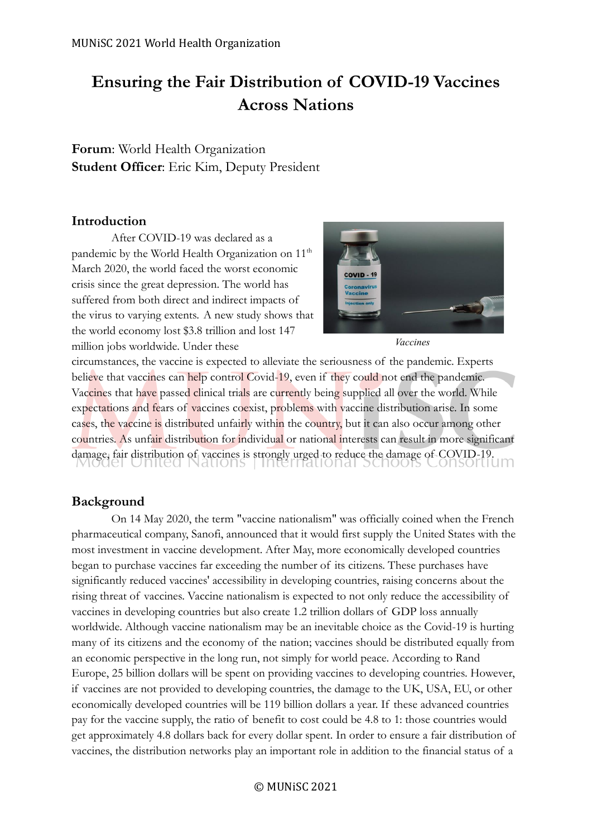# **Ensuring the Fair Distribution of COVID-19 Vaccines Across Nations**

**Forum**: World Health Organization **Student Officer**: Eric Kim, Deputy President

# **Introduction**

After COVID-19 was declared as a pandemic by the World Health Organization on 11<sup>th</sup> March 2020, the world faced the worst economic crisis since the great depression. The world has suffered from both direct and indirect impacts of the virus to varying extents. A new study shows that the world economy lost \$3.8 trillion and lost 147 million jobs worldwide. Under these



*Vaccines*

circumstances, the vaccine is expected to alleviate the seriousness of the pandemic. Experts believe that vaccines can help control Covid-19, even if they could not end the pandemic. Vaccines that have passed clinical trials are currently being supplied all over the world. While expectations and fears of vaccines coexist, problems with vaccine distribution arise. In some cases, the vaccine is distributed unfairly within the country, but it can also occur among other countries. As unfair distribution for individual or national interests can result in more significant damage, fair distribution of vaccines is strongly urged to reduce the damage of COVID-19.

# **Background**

On 14 May 2020, the term "vaccine nationalism" was officially coined when the French pharmaceutical company, Sanofi, announced that it would first supply the United States with the most investment in vaccine development. After May, more economically developed countries began to purchase vaccines far exceeding the number of its citizens. These purchases have significantly reduced vaccines' accessibility in developing countries, raising concerns about the rising threat of vaccines. Vaccine nationalism is expected to not only reduce the accessibility of vaccines in developing countries but also create 1.2 trillion dollars of GDP loss annually worldwide. Although vaccine nationalism may be an inevitable choice as the Covid-19 is hurting many of its citizens and the economy of the nation; vaccines should be distributed equally from an economic perspective in the long run, not simply for world peace. According to Rand Europe, 25 billion dollars will be spent on providing vaccines to developing countries. However, if vaccines are not provided to developing countries, the damage to the UK, USA, EU, or other economically developed countries will be 119 billion dollars a year. If these advanced countries pay for the vaccine supply, the ratio of benefit to cost could be 4.8 to 1: those countries would get approximately 4.8 dollars back for every dollar spent. In order to ensure a fair distribution of vaccines, the distribution networks play an important role in addition to the financial status of a

© MUNiSC 2021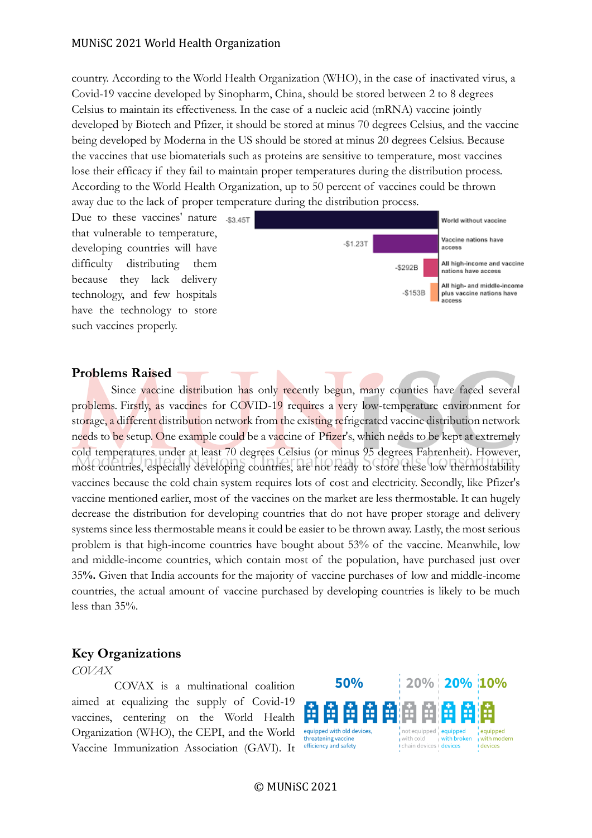country. According to the World Health Organization (WHO), in the case of inactivated virus, a Covid-19 vaccine developed by Sinopharm, China, should be stored between 2 to 8 degrees Celsius to maintain its effectiveness. In the case of a nucleic acid (mRNA) vaccine jointly developed by Biotech and Pfizer, it should be stored at minus 70 degrees Celsius, and the vaccine being developed by Moderna in the US should be stored at minus 20 degrees Celsius. Because the vaccines that use biomaterials such as proteins are sensitive to temperature, most vaccines lose their efficacy if they fail to maintain proper temperatures during the distribution process. According to the World Health Organization, up to 50 percent of vaccines could be thrown away due to the lack of proper temperature during the distribution process.

Due to these vaccines' nature  $\sqrt{3}$ that vulnerable to temperature, developing countries will have difficulty distributing them because they lack delivery technology, and few hospitals have the technology to store such vaccines properly.



#### **Problems Raised**

Since vaccine distribution has only recently begun, many counties have faced several problems. Firstly, as vaccines for COVID-19 requires a very low-temperature environment for storage, a different distribution network from the existing refrigerated vaccine distribution network needs to be setup. One example could be a vaccine of Pfizer's, which needs to be kept at extremely cold temperatures under at least 70 degrees Celsius (or minus 95 degrees Fahrenheit). However, most countries, especially developing countries, are not ready to store these low thermostability vaccines because the cold chain system requires lots of cost and electricity. Secondly, like Pfizer's vaccine mentioned earlier, most of the vaccines on the market are less thermostable. It can hugely decrease the distribution for developing countries that do not have proper storage and delivery systems since less thermostable means it could be easier to be thrown away. Lastly, the most serious problem is that high-income countries have bought about 53% of the vaccine. Meanwhile, low and middle-income countries, which contain most of the population, have purchased just over 35**%.** Given that India accounts for the majority of vaccine purchases of low and middle-income countries, the actual amount of vaccine purchased by developing countries is likely to be much less than 35%.

# **Key Organizations**

*COVAX*

COVAX is a multinational coalition aimed at equalizing the supply of Covid-19 vaccines, centering on the World Health Organization (WHO), the CEPI, and the World Vaccine Immunization Association (GAVI). It



© MUNiSC 2021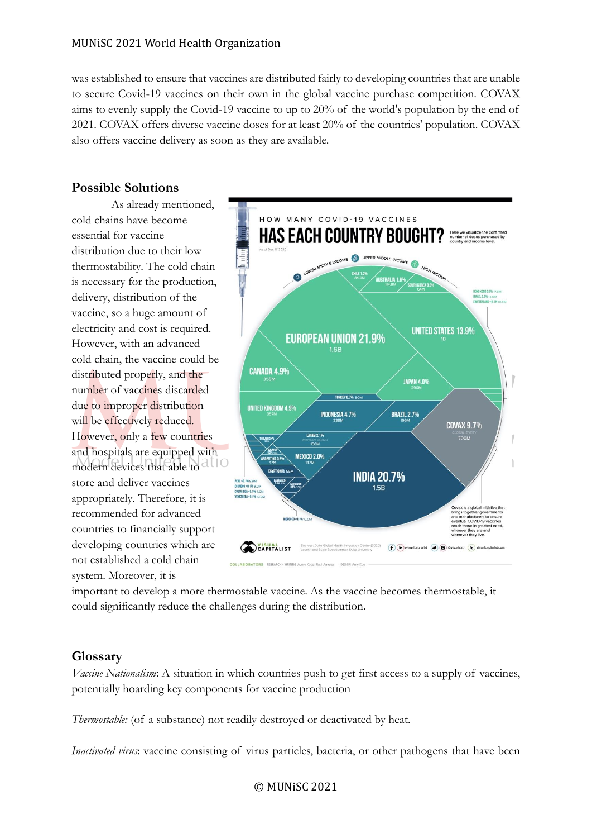#### MUNiSC 2021 World Health Organization

was established to ensure that vaccines are distributed fairly to developing countries that are unable to secure Covid-19 vaccines on their own in the global vaccine purchase competition. COVAX aims to evenly supply the Covid-19 vaccine to up to 20% of the world's population by the end of 2021. COVAX offers diverse vaccine doses for at least 20% of the countries' population. COVAX also offers vaccine delivery as soon as they are available.

# **Possible Solutions**

As already mentioned, cold chains have become essential for vaccine distribution due to their low thermostability. The cold chain is necessary for the production, delivery, distribution of the vaccine, so a huge amount of electricity and cost is required. However, with an advanced cold chain, the vaccine could be distributed properly, and the number of vaccines discarded due to improper distribution will be effectively reduced. However, only a few countries and hospitals are equipped with modern devices that able to allo store and deliver vaccines appropriately. Therefore, it is recommended for advanced countries to financially support developing countries which are not established a cold chain system. Moreover, it is



important to develop a more thermostable vaccine. As the vaccine becomes thermostable, it could significantly reduce the challenges during the distribution.

# **Glossary**

*Vaccine Nationalism*: A situation in which countries push to get first access to a supply of vaccines, potentially hoarding key components for vaccine production

*Thermostable:* (of a substance) not readily destroyed or deactivated by heat.

*Inactivated virus*: vaccine consisting of virus particles, bacteria, or other pathogens that have been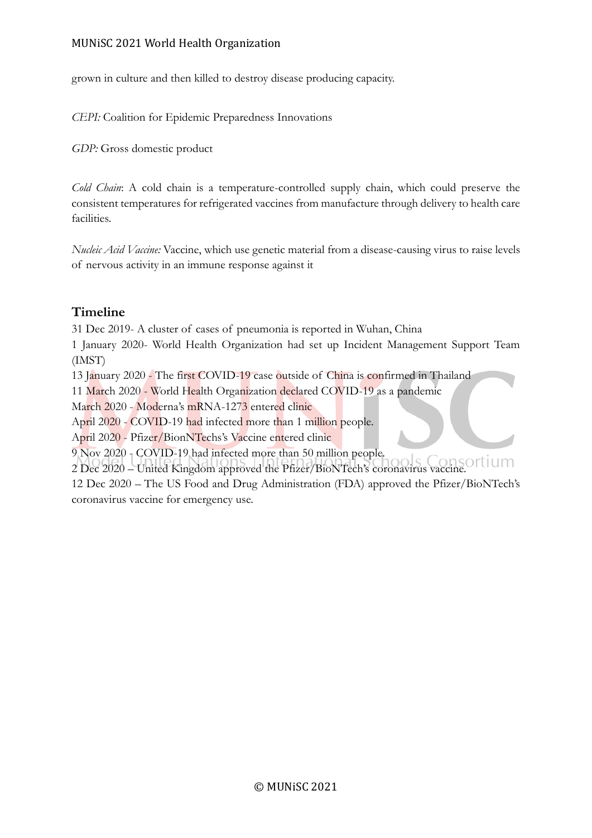grown in culture and then killed to destroy disease producing capacity.

*CEPI:* Coalition for Epidemic Preparedness Innovations

*GDP:* Gross domestic product

*Cold Chain*: A cold chain is a temperature-controlled supply chain, which could preserve the consistent temperatures for refrigerated vaccines from manufacture through delivery to health care facilities.

*Nucleic Acid Vaccine:* Vaccine, which use genetic material from a disease-causing virus to raise levels of nervous activity in an immune response against it

# **Timeline**

31 Dec 2019- A cluster of cases of pneumonia is reported in Wuhan, China

1 January 2020- World Health Organization had set up Incident Management Support Team (IMST)

13 January 2020 - The first COVID-19 case outside of China is confirmed in Thailand

11 March 2020 - World Health Organization declared COVID-19 as a pandemic

March 2020 - Moderna's mRNA-1273 entered clinic

April 2020 - COVID-19 had infected more than 1 million people.

April 2020 - Pfizer/BionNTechs's Vaccine entered clinic

9 Nov 2020 - COVID-19 had infected more than 50 million people.

2 Dec 2020 – United Kingdom approved the Pfizer/BioNTech's coronavirus vaccine.

12 Dec 2020 – The US Food and Drug Administration (FDA) approved the Pfizer/BioNTech's coronavirus vaccine for emergency use.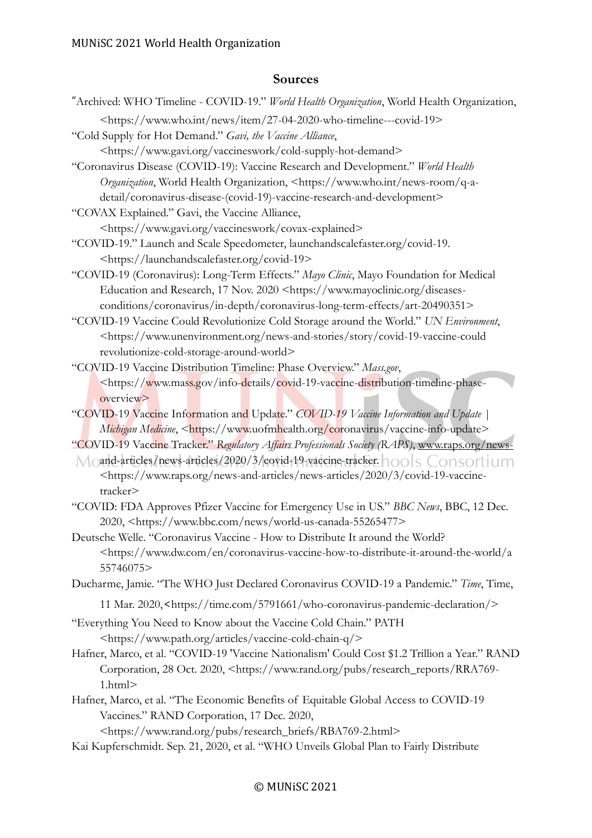# **Sources**

- "Archived: WHO Timeline COVID-19." *World Health Organization*, World Health Organization,
- <https://www.who.int/news/item/27-04-2020-who-timeline---covid-19>
- "Cold Supply for Hot Demand." *Gavi, the Vaccine Alliance*,
	- <https://www.gavi.org/vaccineswork/cold-supply-hot-demand>
- "Coronavirus Disease (COVID-19): Vaccine Research and Development." *World Health Organization*, World Health Organization, <https://www.who.int/news-room/q-adetail/coronavirus-disease-(covid-19)-vaccine-research-and-development>
- "COVAX Explained." Gavi, the Vaccine Alliance,

<https://www.gavi.org/vaccineswork/covax-explained>

- "COVID-19." Launch and Scale Speedometer, launchandscalefaster.org/covid-19. <https://launchandscalefaster.org/covid-19>
- "COVID-19 (Coronavirus): Long-Term Effects." *Mayo Clinic*, Mayo Foundation for Medical Education and Research, 17 Nov. 2020 <https://www.mayoclinic.org/diseasesconditions/coronavirus/in-depth/coronavirus-long-term-effects/art-20490351>
- "COVID-19 Vaccine Could Revolutionize Cold Storage around the World." *UN Environment*, <https://www.unenvironment.org/news-and-stories/story/covid-19-vaccine-could revolutionize-cold-storage-around-world>
- "COVID-19 Vaccine Distribution Timeline: Phase Overview." *Mass.gov*, <https://www.mass.gov/info-details/covid-19-vaccine-distribution-timeline-phaseoverview>
- "COVID-19 Vaccine Information and Update." *COVID-19 Vaccine Information and Update | Michigan Medicine*, <https://www.uofmhealth.org/coronavirus/vaccine-info-update>
- "COVID-19 Vaccine Tracker." *Regulatory Affairs Professionals Society (RAPS)*, [www.raps.org/news-](http://www.raps.org/news-)
- $M$  and-articles/news-articles/2020/3/covid-19-vaccine-tracker.  $\bigcap_{i=1}^{\infty}$  Consortium <https://www.raps.org/news-and-articles/news-articles/2020/3/covid-19-vaccinetracker>
- "COVID: FDA Approves Pfizer Vaccine for Emergency Use in US." *BBC News*, BBC, 12 Dec. 2020, <https://www.bbc.com/news/world-us-canada-55265477>
- Deutsche Welle. "Coronavirus Vaccine How to Distribute It around the World? <https://www.dw.com/en/coronavirus-vaccine-how-to-distribute-it-around-the-world/a 55746075>

Ducharme, Jamie. "The WHO Just Declared Coronavirus COVID-19 a Pandemic." *Time*, Time,

- 11 Mar. 2020,<https://time.com/5791661/who-coronavirus-pandemic-declaration/>
- "Everything You Need to Know about the Vaccine Cold Chain." PATH <https://www.path.org/articles/vaccine-cold-chain-q/>
- Hafner, Marco, et al. "COVID-19 'Vaccine Nationalism' Could Cost \$1.2 Trillion a Year." RAND Corporation, 28 Oct. 2020, <https://www.rand.org/pubs/research\_reports/RRA769- 1.html>
- Hafner, Marco, et al. "The Economic Benefits of Equitable Global Access to COVID-19 Vaccines." RAND Corporation, 17 Dec. 2020,

<https://www.rand.org/pubs/research\_briefs/RBA769-2.html>

Kai Kupferschmidt. Sep. 21, 2020, et al. "WHO Unveils Global Plan to Fairly Distribute